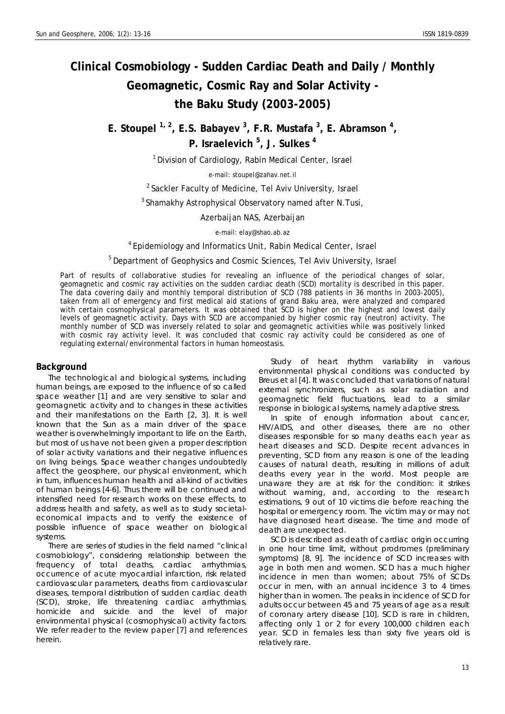# **Clinical Cosmobiology - Sudden Cardiac Death and Daily / Monthly Geomagnetic, Cosmic Ray and Solar Activity the Baku Study (2003-2005)**

E. Stoupel <sup>1, 2</sup>, E.S. Babayev <sup>3</sup>, F.R. Mustafa <sup>3</sup>, E. Abramson <sup>4</sup>, **P. Israelevich 5 , J. Sulkes <sup>4</sup>**

<sup>1</sup> Division of Cardiology, Rabin Medical Center, Israel

e-mail: stoupel@zahav.net.il

<sup>2</sup> Sackler Faculty of Medicine, Tel Aviv University, Israel

<sup>3</sup> Shamakhy Astrophysical Observatory named after N. Tusi,

Azerbaijan NAS, Azerbaijan

e-mail: elay@shao.ab.az

4 Epidemiology and Informatics Unit, Rabin Medical Center, Israel

<sup>5</sup> Department of Geophysics and Cosmic Sciences, Tel Aviv University, Israel

Part of results of collaborative studies for revealing an influence of the periodical changes of solar, geomagnetic and cosmic ray activities on the sudden cardiac death (SCD) mortality is described in this paper. The data covering daily and monthly temporal distribution of SCD (788 patients in 36 months in 2003-2005), taken from all of emergency and first medical aid stations of grand Baku area, were analyzed and compared with certain cosmophysical parameters. It was obtained that SCD is higher on the highest and lowest daily levels of geomagnetic activity. Days with SCD are accompanied by higher cosmic ray (neutron) activity. The monthly number of SCD was inversely related to solar and geomagnetic activities while was positively linked with cosmic ray activity level. It was concluded that cosmic ray activity could be considered as one of regulating external/environmental factors in human homeostasis.

# **Background**

The technological and biological systems, including human beings, are exposed to the influence of so called space weather [1] and are very sensitive to solar and geomagnetic activity and to changes in these activities and their manifestations on the Earth [2, 3]. It is well known that the Sun as a main driver of the space weather is overwhelmingly important to life on the Earth, but most of us have not been given a proper description of solar activity variations and their negative influences on living beings. Space weather changes undoubtedly affect the geosphere, our physical environment, which in turn, influences human health and all-kind of activities of human beings [4-6]. Thus there will be continued and intensified need for research works on these effects, to address health and safety, as well as to study societaleconomical impacts and to verify the existence of possible influence of space weather on biological systems.

There are series of studies in the field named "clinical cosmobiology", considering relationship between the frequency of total deaths, cardiac arrhythmias, occurrence of acute myocardial infarction, risk related cardiovascular parameters, deaths from cardiovascular diseases, temporal distribution of sudden cardiac death (SCD), stroke, life threatening cardiac arrhythmias, homicide and suicide and the level of major environmental physical (cosmophysical) activity factors. We refer reader to the review paper [7] and references herein.

Study of heart rhythm variability in various environmental physical conditions was conducted by Breus et al [4]. It was concluded that variations of natural external synchronizers, such as solar radiation and geomagnetic field fluctuations, lead to a similar response in biological systems, namely adaptive stress.

In spite of enough information about cancer, HIV/AIDS, and other diseases, there are no other diseases responsible for so many deaths each year as heart diseases and SCD. Despite recent advances in preventing, SCD from any reason is one of the leading causes of natural death, resulting in millions of adult deaths every year in the world. Most people are unaware they are at risk for the condition: it strikes without warning, and, according to the research estimations, 9 out of 10 victims die before reaching the hospital or emergency room. The victim may or may not have diagnosed heart disease. The time and mode of death are unexpected.

SCD is described as death of cardiac origin occurring in one hour time limit, without prodromes (preliminary symptoms) [8, 9]. The incidence of SCD increases with age in both men and women. SCD has a much higher incidence in men than women; about 75% of SCDs occur in men, with an annual incidence 3 to 4 times higher than in women. The peaks in incidence of SCD for adults occur between 45 and 75 years of age as a result of coronary artery disease [10]. SCD is rare in children, affecting only 1 or 2 for every 100,000 children each year. SCD in females less than sixty five years old is relatively rare.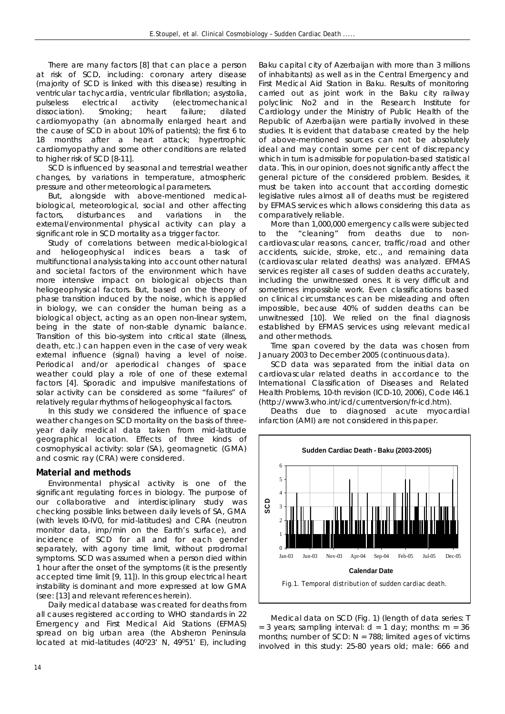There are many factors [8] that can place a person at risk of SCD, including: coronary artery disease (majority of SCD is linked with this disease) resulting in ventricular tachycardia, ventricular fibrillation; asystolia, pulseless electrical activity (electromechanical dissociation). Smoking; heart failure; dilated cardiomyopathy (an abnormally enlarged heart and the cause of SCD in about 10% of patients); the first 6 to 18 months after a heart attack; hypertrophic cardiomyopathy and some other conditions are related to higher risk of SCD [8-11].

SCD is influenced by seasonal and terrestrial weather changes, by variations in temperature, atmospheric pressure and other meteorological parameters.

But, alongside with above-mentioned medicalbiological, meteorological, social and other affecting factors, disturbances and variations in the external/environmental physical activity can play a significant role in SCD mortality as a trigger factor.

Study of correlations between medical-biological and heliogeophysical indices bears a task of multifunctional analysis taking into account other natural and societal factors of the environment which have more intensive impact on biological objects than heliogeophysical factors. But, based on the theory of phase transition induced by the noise, which is applied in biology, we can consider the human being as a biological object, acting as an open non-linear system, being in the state of non-stable dynamic balance. Transition of this bio-system into critical state (illness, death, etc.) can happen even in the case of very weak external influence (signal) having a level of noise. Periodical and/or aperiodical changes of space weather could play a role of one of these external factors [4]. Sporadic and impulsive manifestations of solar activity can be considered as some "failures" of relatively regular rhythms of heliogeophysical factors.

In this study we considered the influence of space weather changes on SCD mortality on the basis of threeyear daily medical data taken from mid-latitude geographical location. Effects of three kinds of cosmophysical activity: solar (SA), geomagnetic (GMA) and cosmic ray (CRA) were considered.

# **Material and methods**

Environmental physical activity is one of the significant regulating forces in biology. The purpose of our collaborative and interdisciplinary study was checking possible links between daily levels of SA, GMA (with levels I0-IV0, for mid-latitudes) and CRA (neutron monitor data, imp/min on the Earth's surface), and incidence of SCD for all and for each gender separately, with agony time limit, without prodromal symptoms. SCD was assumed when a person died within 1 hour after the onset of the symptoms (it is the presently accepted time limit [9, 11]). In this group electrical heart instability is dominant and more expressed at low GMA (see: [13] and relevant references herein).

Daily medical database was created for deaths from all causes registered according to WHO standards in 22 Emergency and First Medical Aid Stations (EFMAS) spread on big urban area (the Absheron Peninsula located at mid-latitudes (40°23' N, 49°51' E), including

Baku capital city of Azerbaijan with more than 3 millions of inhabitants) as well as in the Central Emergency and First Medical Aid Station in Baku. Results of monitoring carried out as joint work in the Baku city railway polyclinic No2 and in the Research Institute for Cardiology under the Ministry of Public Health of the Republic of Azerbaijan were partially involved in these studies. It is evident that database created by the help of above-mentioned sources can not be absolutely ideal and may contain some per cent of discrepancy which in turn is admissible for population-based statistical data. This, in our opinion, does not significantly affect the general picture of the considered problem. Besides, it must be taken into account that according domestic legislative rules almost all of deaths must be registered by EFMAS services which allows considering this data as comparatively reliable.

More than 1,000,000 emergency calls were subjected to the "cleaning" from deaths due to noncardiovascular reasons, cancer, traffic/road and other accidents, suicide, stroke, etc., and remaining data (cardiovascular related deaths) was analyzed. EFMAS services register all cases of sudden deaths accurately, including the unwitnessed ones. It is very difficult and sometimes impossible work. Even classifications based on clinical circumstances can be misleading and often impossible, because 40% of sudden deaths can be unwitnessed [10]. We relied on the final diagnosis established by EFMAS services using relevant medical and other methods.

Time span covered by the data was chosen from January 2003 to December 2005 (continuous data).

SCD data was separated from the initial data on cardiovascular related deaths in accordance to the International Classification of Diseases and Related Health Problems, 10-th revision (ICD-10, 2006), Code I46.1 (http://www3.who.int/icd/currentversion/fr-icd.htm).

Deaths due to diagnosed acute myocardial infarction (AMI) are not considered in this paper.



Medical data on SCD (Fig. 1) (length of data series: T = 3 years; sampling interval:  $d = 1$  day; months: m = 36 months; number of SCD:  $N = 788$ ; limited ages of victims involved in this study: 25-80 years old; male: 666 and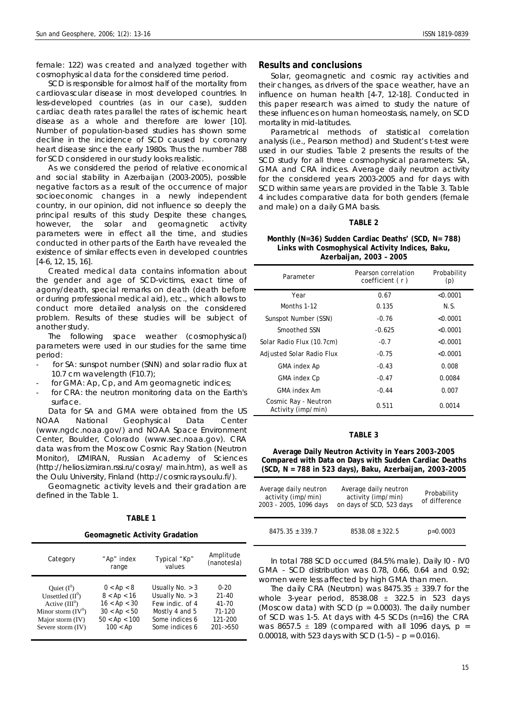female: 122) was created and analyzed together with cosmophysical data for the considered time period.

SCD is responsible for almost half of the mortality from cardiovascular disease in most developed countries. In less-developed countries (as in our case), sudden cardiac death rates parallel the rates of ischemic heart disease as a whole and therefore are lower [10]. Number of population-based studies has shown some decline in the incidence of SCD caused by coronary heart disease since the early 1980s. Thus the number 788 for SCD considered in our study looks realistic.

As we considered the period of relative economical and social stability in Azerbaijan (2003-2005), possible negative factors as a result of the occurrence of major socioeconomic changes in a newly independent country, in our opinion, did not influence so deeply the principal results of this study Despite these changes, however, the solar and geomagnetic activity parameters were in effect all the time, and studies conducted in other parts of the Earth have revealed the existence of similar effects even in developed countries [4-6, 12, 15, 16].

Created medical data contains information about the gender and age of SCD-victims, exact time of agony/death, special remarks on death (death before or during professional medical aid), etc., which allows to conduct more detailed analysis on the considered problem. Results of these studies will be subject of another study.

The following space weather (cosmophysical) parameters were used in our studies for the same time period:

- for SA: sunspot number (SNN) and solar radio flux at 10.7 cm wavelength (F10.7);
- for GMA: Ap, Cp, and Am geomagnetic indices;
- for CRA: the neutron monitoring data on the Earth's surface.

Data for SA and GMA were obtained from the US NOAA National Geophysical Data Center (www.ngdc.noaa.gov/) and NOAA Space Environment Center, Boulder, Colorado (www.sec.noaa.gov). CRA data was from the Moscow Cosmic Ray Station (Neutron Monitor), IZMIRAN, Russian Academy of Sciences (http://helios.izmiran.rssi.ru/cosray/ main.htm), as well as the Oulu University, Finland (http://cosmicrays.oulu.fi/).

Geomagnetic activity levels and their gradation are defined in the Table 1.

## **TABLE 1**

**Geomagnetic Activity Gradation** 

| Category             | "Ap" index       | Typical "Kp"      | Amplitude   |
|----------------------|------------------|-------------------|-------------|
|                      | range            | values            | (nanotesla) |
| Ouiet $(I^0)$        | $0 <$ Ap $<$ 8   | Usually No. $>$ 3 | $0 - 20$    |
| Unsettled $(II^0)$   | $8 <$ Ap $< 16$  | Usually $No. > 3$ | $21 - 40$   |
| Active $(III^0)$     | $16 <$ Ap $<$ 30 | Few indic. of 4   | $41 - 70$   |
| Minor storm $(IV^0)$ | 30 < Ap < 50     | Mostly 4 and 5    | 71-120      |
| Major storm (IV)     | 50 < Ap < 100    | Some indices 6    | 121-200     |
| Severe storm (IV)    | $100 <$ Ap       | Some indices 6    | $201 - 550$ |

# **Results and conclusions**

Solar, geomagnetic and cosmic ray activities and their changes, as drivers of the space weather, have an influence on human health [4-7, 12-18]. Conducted in this paper research was aimed to study the nature of these influences on human homeostasis, namely, on SCD mortality in mid-latitudes.

Parametrical methods of statistical correlation analysis (i.e., Pearson method) and Student's t-test were used in our studies. Table 2 presents the results of the SCD study for all three cosmophysical parameters: SA, GMA and CRA indices. Average daily neutron activity for the considered years 2003-2005 and for days with SCD within same years are provided in the Table 3. Table 4 includes comparative data for both genders (female and male) on a daily GMA basis.

## **TABLE 2**

## **Monthly (N=36) Sudden Cardiac Deaths' (SCD, N= 788) Links with Cosmophysical Activity Indices, Baku, Azerbaijan, 2003 – 2005**

| Parameter                                           | Pearson correlation<br>coefficient (r) | Probability<br>(p) |  |
|-----------------------------------------------------|----------------------------------------|--------------------|--|
| Year                                                | 0.67                                   | < 0.0001           |  |
| Months 1-12                                         | 0.135                                  | N.S.               |  |
| Sunspot Number (SSN)                                | $-0.76$                                | < 0.0001           |  |
| Smoothed SSN                                        | $-0.625$                               | < 0.0001           |  |
| Solar Radio Flux (10.7cm)                           | $-0.7$                                 | < 0.0001           |  |
| Adjusted Solar Radio Flux                           | $-0.75$                                | < 0.0001           |  |
| <b>GMA index Ap</b>                                 | $-0.43$                                | 0.008              |  |
| <b>GMA index Cp</b>                                 | $-0.47$                                | 0.0084             |  |
| GMA index Am                                        | $-0.44$                                | 0.007              |  |
| Cosmic Ray - Neutron<br>Activity ( <i>imp/min</i> ) | 0.511                                  | 0.0014             |  |

## **TABLE 3**

**Average Daily Neutron Activity in Years 2003-2005 Compared with Data on Days with Sudden Cardiac Deaths (SCD, N = 788 in 523 days), Baku, Azerbaijan, 2003-2005** 

| Average daily neutron<br>activity (imp/min)<br>2003 - 2005, 1096 days | Average daily neutron<br>activity ( <i>imp/min</i> )<br>on days of SCD, 523 days | Probability<br>of difference |  |
|-----------------------------------------------------------------------|----------------------------------------------------------------------------------|------------------------------|--|
| $8475.35 \pm 339.7$                                                   | $8538.08 \pm 322.5$                                                              | $p=0.0003$                   |  |

In total 788 SCD occurred (84.5% male). Daily I0 - IV0 GMA - SCD distribution was 0.78, 0.66, 0.64 and 0.92; women were less affected by high GMA than men.

The daily CRA (Neutron) was  $8475.35 \pm 339.7$  for the whole 3-year period,  $8538.08 \pm 322.5$  in 523 days (Moscow data) with SCD ( $p = 0.0003$ ). The daily number of SCD was 1-5. At days with 4-5 SCDs (n=16) the CRA was 8657.5  $\pm$  189 (compared with all 1096 days, p = 0.00018, with 523 days with SCD  $(1-5) - p = 0.016$ .